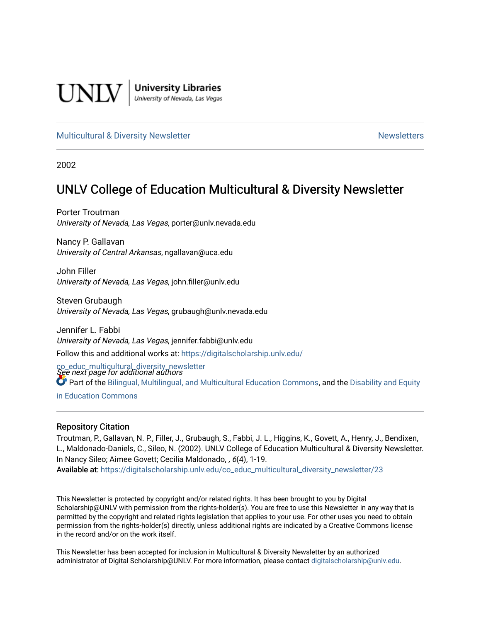

**University Libraries**<br>University of Nevada, Las Vegas

#### [Multicultural & Diversity Newsletter](https://digitalscholarship.unlv.edu/co_educ_multicultural_diversity_newsletter) Newsletter [Newsletters](https://digitalscholarship.unlv.edu/co_educ_newsletters) Newsletters

2002

### UNLV College of Education Multicultural & Diversity Newsletter

Porter Troutman University of Nevada, Las Vegas, porter@unlv.nevada.edu

Nancy P. Gallavan University of Central Arkansas, ngallavan@uca.edu

John Filler University of Nevada, Las Vegas, john.filler@unlv.edu

Steven Grubaugh University of Nevada, Las Vegas, grubaugh@unlv.nevada.edu

Jennifer L. Fabbi University of Nevada, Las Vegas, jennifer.fabbi@unlv.edu Follow this and additional works at: [https://digitalscholarship.unlv.edu/](https://digitalscholarship.unlv.edu/co_educ_multicultural_diversity_newsletter?utm_source=digitalscholarship.unlv.edu%2Fco_educ_multicultural_diversity_newsletter%2F23&utm_medium=PDF&utm_campaign=PDFCoverPages)

co\_educ\_multicultural\_diversity\_newsletter<br>See next page for additional authors Part of the [Bilingual, Multilingual, and Multicultural Education Commons,](http://network.bepress.com/hgg/discipline/785?utm_source=digitalscholarship.unlv.edu%2Fco_educ_multicultural_diversity_newsletter%2F23&utm_medium=PDF&utm_campaign=PDFCoverPages) and the [Disability and Equity](http://network.bepress.com/hgg/discipline/1040?utm_source=digitalscholarship.unlv.edu%2Fco_educ_multicultural_diversity_newsletter%2F23&utm_medium=PDF&utm_campaign=PDFCoverPages)  [in Education Commons](http://network.bepress.com/hgg/discipline/1040?utm_source=digitalscholarship.unlv.edu%2Fco_educ_multicultural_diversity_newsletter%2F23&utm_medium=PDF&utm_campaign=PDFCoverPages)

#### Repository Citation

Troutman, P., Gallavan, N. P., Filler, J., Grubaugh, S., Fabbi, J. L., Higgins, K., Govett, A., Henry, J., Bendixen, L., Maldonado-Daniels, C., Sileo, N. (2002). UNLV College of Education Multicultural & Diversity Newsletter. In Nancy Sileo; Aimee Govett; Cecilia Maldonado, , 6(4), 1-19. Available at: [https://digitalscholarship.unlv.edu/co\\_educ\\_multicultural\\_diversity\\_newsletter/23](https://digitalscholarship.unlv.edu/co_educ_multicultural_diversity_newsletter/23) 

This Newsletter is protected by copyright and/or related rights. It has been brought to you by Digital Scholarship@UNLV with permission from the rights-holder(s). You are free to use this Newsletter in any way that is permitted by the copyright and related rights legislation that applies to your use. For other uses you need to obtain permission from the rights-holder(s) directly, unless additional rights are indicated by a Creative Commons license in the record and/or on the work itself.

This Newsletter has been accepted for inclusion in Multicultural & Diversity Newsletter by an authorized administrator of Digital Scholarship@UNLV. For more information, please contact [digitalscholarship@unlv.edu.](mailto:digitalscholarship@unlv.edu)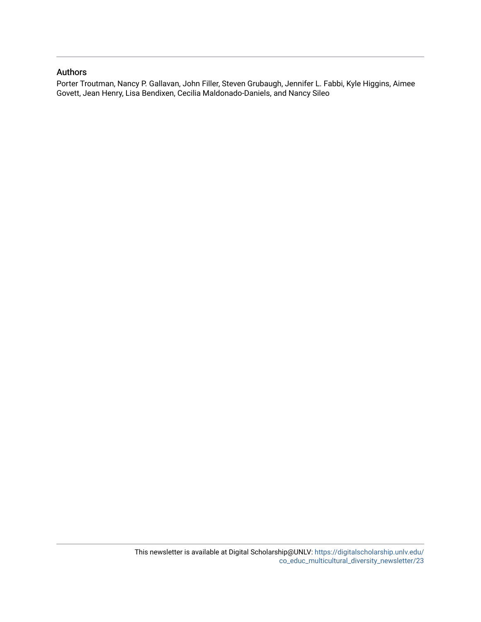#### Authors

Porter Troutman, Nancy P. Gallavan, John Filler, Steven Grubaugh, Jennifer L. Fabbi, Kyle Higgins, Aimee Govett, Jean Henry, Lisa Bendixen, Cecilia Maldonado-Daniels, and Nancy Sileo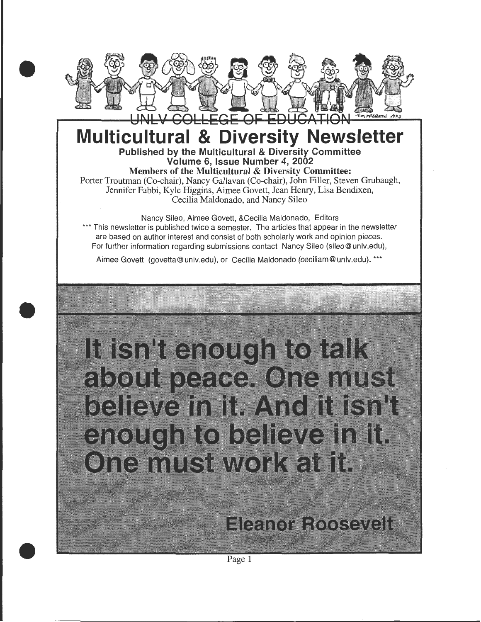

### **Multicultural & Diversity Newsletter**  Published by the Multicultural & Diversity Committee

Volume 6, Issue Number 4, 2002

Members of the Multicultural & Diversity Committee: Porter Troutman (Co-chair), Nancy Gallavan (Co-chair), John Filler, Steven Grubaugh, Jennifer Fabbi, Kyle Higgins, Aimee Govett, Jean Henry, Lisa Bendixen, Cecilia Maldonado, and Nancy Sileo

Nancy Sileo, Aimee Govett, &Cecilia Maldonado, Editors \*\*\* This newsletter is published twice a semester. The articles that appear in the newsletter are based on author interest and consist of both scholarly work and opinion pieces. For further information regarding submissions contact Nancy Sileo (sileo@ unlv.edu),

Aimee Govett (govetta@ unlv.edu), or Cecilia Maldonado (ceciliam@ unlv.edu). \*\*\*



Page 1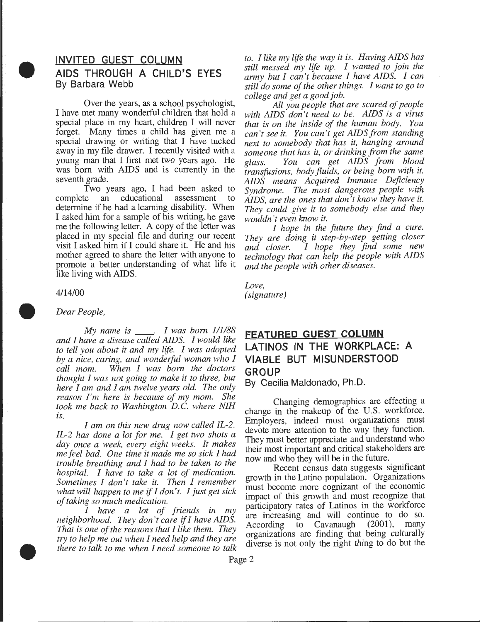### • **INVITED GUEST COLUMN AIDS THROUGH A CHILD'S EYES**  By Barbara Webb

Over the years, as a school psychologist, I have met many wonderful children that hold a special place in my heart, children I will never forget. Many times a child has given me a special drawing or writing that I have tucked away in my file drawer. I recently visited with a young man that I first met two years ago. He was born with AIDS and is currently in the seventh grade.

Two years ago, I had been asked to complete an educational determine if he had a learning disability. When I asked him for a sample of his writing, he gave me the following letter. A copy of the letter was placed in my special file and during our recent visit I asked him if I could share it. He and his mother agreed to share the letter with anyone to promote a better understanding of what life it like living with AIDS.

#### 4/14/00

•

•

#### *Dear People,*

*My name is* \_ \_ . *I was born 1/1/88 and I have a disease called AIDS. I would like to tell you about it and my life. I was adopted by a nice, caring, and wonderful woman who I call mom. When I was born the doctors thought I was not going to make it to three, but here I am and I am twelve years old. The only reason I'm here is because of my mom. She took me back to Washington D.C. where NIH is. I am on this new drug now called IL-2.* 

*IL-2 has done a lot for me. I get two shots a day once a week, every eight weeks. It makes me feel bad. One time it made me so sick I had trouble breathing and I had to be taken to the hospital. I have to take a lot of medication. Sometimes I don't take it. Then 1 remember what will happen to me if I don't. I just get sick of taking so much medication.* 

*I have a lot of friends in my neighborhood. They don't care if I have AIDS. That is one of the reasons that I like them. They try to help me out when I need help and they are there to talk to me when I need someone to talk*  *to. I like my life the way it is. Having AIDS has still messed my life up. I wanted to join the army but I can't because I have AIDS. I can still do some of the other things. I want to go to college and get a good job.* 

*All you people that are scared of people with AIDS don't need to be. AIDS is a virus that is on the inside of the human body. You can't see it. You can't get AIDS from standing next to somebody that has it, hanging around someone that has it, or drinking from the same*  glass. You can get AIDS from blood *transfusions, body fluids, or being born with it.* AIDS means Acquired Immune Deficiency *Syndrome. The most dangerous people with AIDS, are the ones that don't know they have it. They could give it to somebody else and they wouldn't even know it.* 

*I hope in the future they find a cure. They are doing it step-by-step getting closer and closer. I hope they find some new technology that can help the people with AIDS and the people with other diseases.* 

*Love, (signature)* 

#### **FEATURED GUEST COLUMN LATINOS IN THE WORKPLACE: A VIABLE BUT MISUNDERSTOOD GROUP**

By Cecilia Maldonado, Ph.D.

Changing demographics are effecting a change in the makeup of the U.S. workforce. Employers, indeed most organizations must devote more attention to the way they function. They must better appreciate and understand who their most important and critical stakeholders are now and who they will be in the future.

Recent census data suggests significant growth in the Latino population. Organizations must become more cognizant of the economic impact of this growth and must recognize that participatory rates of Latinos in the workforce are increasing and will continue to do so.<br>According to Cavanaugh (2001), many According to Cavanaugh organizations are finding that being culturally diverse is not only the nght thmg to do but the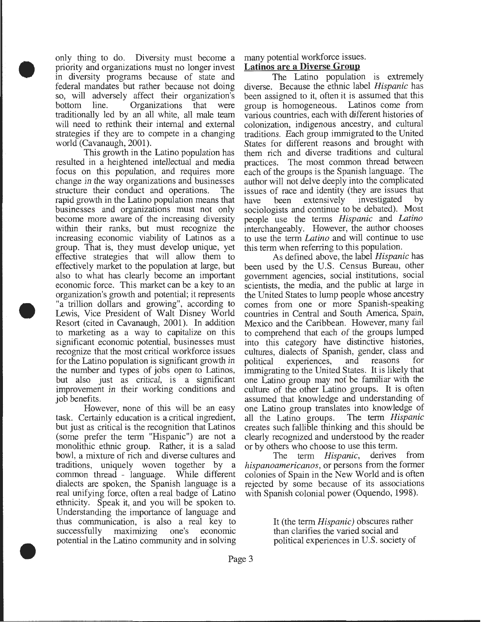only thing to do. Diversity must become a priority and organizations must no longer invest in diversity programs because of state and federal mandates but rather because not doing so, will adversely affect their organization's bottom line. Organizations that were traditionally led by an all white, all male team will need to rethink their internal and external strategies if they are to compete in a changing world (Cavanaugh, 2001).

•

•

•

This growth in the Latino population has resulted in a heightened intellectual and media focus on this population, and requires more change in the way organizations and businesses structure their conduct and operations. rapid growth in the Latino population means that businesses and organizations must not only become more aware of the increasing diversity within their ranks, but must recognize the increasing economic viability of Latinos as a group. That is, they must develop unique, yet effective strategies that will allow them to effectively market to the population at large, but also to what has clearly become an important economic force. This market can be a key to an organization's growth and potential; it represents "a trillion dollars and growing", according to Lewis, Vice President of Walt Disney World Resort (cited in Cavanaugh, 2001). In addition to marketing as a way to capitalize on this significant economic potential, businesses must recognize that the most critical workforce issues for the Latino population is significant growth in the number and types of jobs open to Latinos, but also just as critical, is a significant improvement in their working conditions and job benefits.

However, none of this will be an easy task. Certainly education is a critical ingredient, but just as critical is the recognition that Latinos (some prefer the term "Hispanic") are not a monolithic ethnic group. Rather, it is a salad bowl, a mixture of rich and diverse cultures and traditions, uniquely woven together by a common thread - language. While different dialects are spoken, the Spanish language is a real unifying force, often a real badge of Latino ethnicity. Speak it, and you will be spoken to. Understanding the importance of language and thus communication, is also a real key to successfully maximizing one's economic potential in the Latino community and in solving

#### many potential workforce issues. **Latinos are a Diverse Group**

The Latino population is extremely diverse. Because the ethnic label *Hispanic* has been assigned to it, often it is assumed that this group is homogeneous. Latinos come from various countries, each with different histories of colonization, indigenous ancestry, and cultural traditions. Each group immigrated to the United States for different reasons and brought with them rich and diverse traditions and cultural practices. The most common thread between each of the groups is the Spanish language. The author will not delve deeply into the complicated issues of race and identity (they are issues that have been extensively investigated by have been extensively investigated sociologists and continue to be debated). Most people use the terms *Hispanic* and *Latino*  interchangeably. However, the author chooses to use the term *Latino* and will continue to use this term when referring to this population.

As defined above, the label *Hispanic* has been used by the U.S. Census Bureau, other government agencies, social institutions, social scientists, the media, and the public at large in the United States to lump people whose ancestry comes from one or more Spanish-speaking countries in Central and South America, Spain, Mexico and the Caribbean. However, many fail to comprehend that each of the groups lumped into this category have distinctive histories, cultures, dialects of Spanish, gender, class and political experiences, and reasons immigrating to the United States. It is likely that one Latino group may not be familiar with the culture of the other Latino groups. It is often assumed that knowledge and understanding of one Latino group translates into knowledge of all the Latino groups. The term *Hispanic* all the Latino groups. creates such fallible thinking and this should be clearly recognized and understood by the reader or by others who choose to use this term.

The term *Hispanic,* derives from *hispanoamericanos,* or persons from the former colonies of Spain in the New World and is often rejected by some because of its associations with Spanish colonial power (Oquendo, 1998).

> It (the term *Hispanic)* obscures rather than clarifies the varied social and political experiences in U.S. society of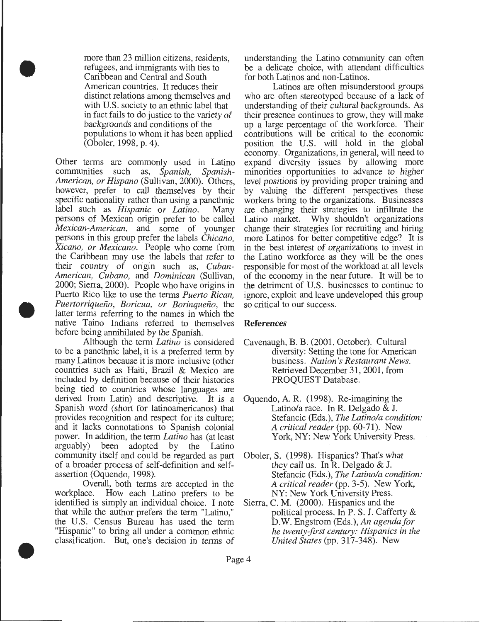more than 23 million citizens, residents, refugees, and immigrants with ties to Caribbean and Central and South American countries. It reduces their distinct relations among themselves and with U.S. society to an ethnic label that in fact fails to do justice to the variety of backgrounds and conditions of the populations to whom it has been applied (Oboler, 1998, p. 4).

•

•

•

Other terms are commonly used in Latino communities such as, Spanish, Spanishcommunities such as, *Spanish, Spanish-American, or Hispano* (Sullivan, 2000). Others, however, prefer to call themselves by their specific nationality rather than using a panethnic label such as *Hispanic or Latino.* Many persons of Mexican origin prefer to be called *Mexican-American,* and some of younger persons in this group prefer the labels *Chicano, Xicano, or Mexicano.* People who come from the Caribbean may use the labels that refer to their country of origin such as, *Cuban-American, Cubano,* and *Dominican* (Sullivan, 2000; Sierra, 2000). People who have origins in Puerto Rico like to use the terms *Puerto Rican, Puertorriquefio, Boricua, or Borinquefio,* the latter terms referring to the names in which the native Taino Indians referred to themselves before being annihilated by the Spanish.

Although the term *Latino* is considered to be a panethnic label, it is a preferred term by many Latinos because it is more inclusive (other countries such as Haiti, Brazil & Mexico are included by definition because of their histories being tied to countries whose languages are derived from Latin) and descriptive. It is a Spanish word (short for latinoamericanos) that provides recognition and respect for its culture; and it lacks connotations to Spanish colonial power. In addition, the term *Latino* has (at least arguably) been adopted by the Latino community itself and could be regarded as part of a broader process of self-definition and selfassertion (Oquendo, 1998).

Overall, both terms are accepted in the workplace. How each Latino prefers to be identified is simply an individual choice. I note that while the author prefers the term "Latino," the U.S. Census Bureau has used the term "Hispanic" to bring all under a common ethnic classification. But, one's decision in terms of

understanding the Latino community can often be a delicate choice, with attendant difficulties for both Latinos and non-Latinos.

Latinos are often misunderstood groups who are often stereotyped because of a lack of understanding of their cultural backgrounds. As their presence continues to grow, they will make up a large percentage of the workforce. Their contributions will be critical to the economic position the U.S. will hold in the global economy. Organizations, in general, will need to expand diversity issues by allowing more minorities opportunities to advance to higher level positions by providing proper training and by valuing the different perspectives these workers bring to the organizations. Businesses are changing their strategies to infiltrate the Latino market. Why shouldn't organizations change their strategies for recruiting and hiring more Latinos for better competitive edge? It is in the best interest of organizations to invest in the Latino workforce as they will be the ones responsible for most of the workload at all levels of the economy in the near future. It will be to the detriment of U.S. businesses to continue to ignore, exploit and leave undeveloped this group so critical to our success .

#### **References**

- Cavenaugh, B. B. (2001, October). Cultural diversity: Setting the tone for American business. *Nation's Restaurant News.*  Retrieved December 31, 2001, from PROQUEST Database.
- Oquendo, A. R. (1998). Re-imagining the Latino/a race. In R. Delgado  $& J.$ Stefancic (Eds.), *The Latina/a condition: A critical reader* (pp. 60-71). New York, NY: New York University Press.
- Oboler, S. (1998). Hispanics? That's what they call us. In R. Delgado & J. Stefancic (Eds.), *The Latina/a condition: A critical reader* (pp. 3-5). New York, NY: New York University Press.
- Sierra, C. M. (2000). Hispanics and the political process. In P. S. J. Cafferty & D.W. Engstrom (Eds.), *An agenda for he twenty-first century: Hispanics in the United States* (pp. 317-348). New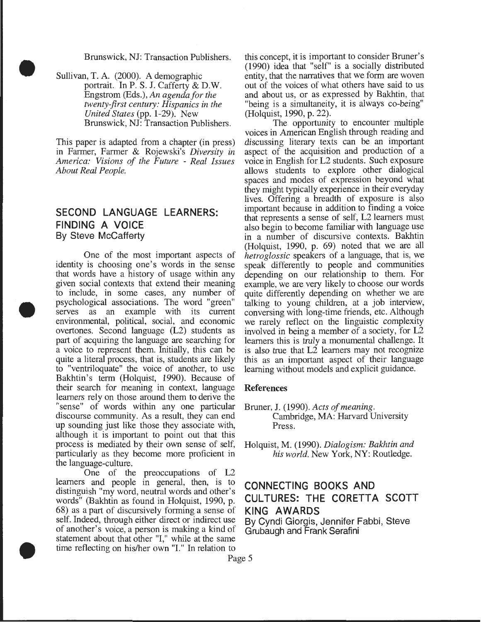Brunswick, NJ: Transaction Publishers .

Sullivan, T. A. (2000). A demographic portrait. In P. S. J. Cafferty & D.W. Engstrom (Eds.), *An agenda for the twenty-first century: Hispanics in the United States* (pp. 1-29). New Brunswick, NJ: Transaction Publishers.

•

•

•

This paper is adapted from a chapter (in press) in Farmer, Farmer & Rajewski's *Diversity in America: Visions of the Future* - *Real Issues About Real People.* 

#### **SECOND LANGUAGE LEARNERS: FINDING A VOICE**  By Steve McCafferty

One of the most important aspects of identity is choosing one's words in the sense that words have a history of usage within any given social contexts that extend their meaning to include, in some cases, any number of psychological associations. The word "green" serves as an example with its current environmental, political, social, and economic overtones. Second language (L2) students as part of acquiring the language are searching for a voice to represent them. Initially, this can be quite a literal process, that is, students are likely to "ventriloquate" the voice of another, to use Bakhtin's term (Holquist, 1990). Because of their search for meaning in context, language References learners rely on those around them to derive the "sense" of words within any one particular discourse community. As a result, they can end up sounding just like those they associate with, although it is important to point out that this process is mediated by their own sense of self, Holquist, M. (1990). *Dialogism: Bakhtin and*  particularly as they become more proficient in the language-culture.

One of the preoccupations of L2 learners and people in general, then, is to distinguish "my word, neutral words and other's words" (Bakhtin as found in Holquist, 1990, p. 68) as a part of discursively forming a sense of self. Indeed, through either direct or indirect use of another's voice, a person is making a kind of statement about that other "1," while at the same time reflecting on his/her own "1." In relation to this concept, it is important to consider Bruner's (1990) idea that "self" is a socially distributed entity, that the narratives that we form are woven out of the voices of what others have said to us and about us, or as expressed by Bakhtin, that "being is a simultaneity, it is always co-being" (Holquist, 1990, p. 22).

The opportunity to encounter multiple voices in American English through reading and discussing literary texts can be an important aspect of the acquisition and production of a voice in English for L2 students. Such exposure allows students to explore other dialogical spaces and modes of expression beyond what they might typically experience in their everyday lives. Offering a breadth of exposure is also important because in addition to finding a voice that represents a sense of self, L2 learners must also begin to become familiar with language use in a number of discursive contexts. Bakhtin (Holquist, 1990, p. 69) noted that we are all *hetroglossic* speakers of a language, that is, we speak differently to people and communities depending on our relationship to them. For example, we are very likely to choose our words quite differently depending on whether we are talking to young children, at a job interview, conversing with long-time friends, etc. Although we rarely reflect on the linguistic complexity involved in being a member of a society, for L2 learners this is truly a monumental challenge. It is also true that L2 learners may not recognize this as an important aspect of their language learning without models and explicit guidance.

Bruner, J. (1990). *Acts of meaning.*  Cambridge, MA: Harvard University Press.

#### **CONNECTING BOOKS AND CULTURES: THE CORETTA SCOTT KING AWARDS**

By Cyndi Giorgis, Jennifer Fabbi, Steve Grubaugh and Frank Serafini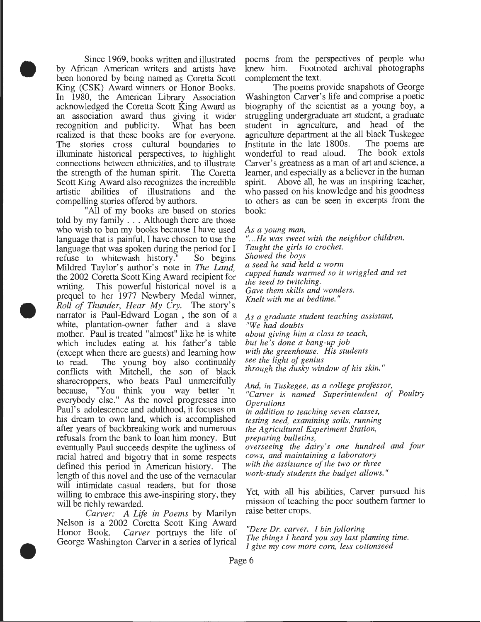Since 1969, books written and illustrated by African American writers and artists have been honored by being named as Coretta Scott King (CSK) Award winners or Honor Books. In 1980, the American Library Association acknowledged the Coretta Scott King Award as an association award thus giving it wider<br>recognition and publicity. What has been recognition and publicity. realized is that these books are for everyone. The stories cross cultural boundaries to illuminate historical perspectives, to highlight connections between ethnicities, and to illustrate the strength of the human spirit. The Coretta Scott King Award also recognizes the incredible artistic abilities of illustrations and the compelling stories offered by authors.

•

•

•

"All of my books are based on stories told by my family ... Although there are those who wish to ban my books because I have used language that is painful, I have chosen to use the language that was spoken during the period for I refuse to whitewash history." So begins Mildred Taylor's author's note in *The Land,*  the 2002 Coretta Scott King Award recipient for writing. This powerful historical novel is a prequel to her 1977 Newbery Medal winner, *Roll of Thunder, Hear My Cry.* The story's narrator is Paul-Edward Logan , the son of a white, plantation-owner father and a slave mother. Paul is treated "almost" like he is white which includes eating at his father's table (except when there are guests) and learning how to read. The young boy also continually conflicts with Mitchell, the son of black sharecroppers, who beats Paul unmercifully because, "You think you way better 'n everybody else." As the novel progresses into Paul's adolescence and adulthood, it focuses on his dream to own land, which is accomplished after years of backbreaking work and numerous refusals from the bank to loan him money. But eventually Paul succeeds despite the ugliness of racial hatred and bigotry that in some respects defined this period in American history. The length of this novel and the use of the vernacular will intimidate casual readers, but for those willing to embrace this awe-inspiring story, they will be richly rewarded.

*Carver: A Life in Poems* by Marilyn Nelson is a 2002 Coretta Scott King Award Honor Book. *Carver* portrays the life of George Washington Carver in a series of lyrical

poems from the perspectives of people who knew him. Footnoted archival photographs complement the text.

The poems provide snapshots of George Washington Carver's life and comprise a poetic biography of the scientist as a young boy, a struggling undergraduate art student, a graduate student in agriculture, and head of the agriculture department at the all black Tuskegee<br>Institute in the late 1800s. The poems are Institute in the late 1800s. The poems are wonderful to read aloud. The book extols wonderful to read aloud. Carver's greatness as a man of art and science, a learner, and especially as a believer in the human spirit. Above all, he was an inspiring teacher, who passed on his knowledge and his goodness to others as can be seen in excerpts from the book:

*As a young man,* 

*" ... He was sweet with the neighbor children. Taught the girls to crochet. Showed the boys a seed he said held a worm cupped hands warmed so it wriggled and set the seed to twitching. Gave them skills and wonders. Knelt with me at bedtime.* "

*As a graduate student teaching assistant, "We had doubts about giving him a class to teach, but he's done a bang-up job with the greenhouse. His students see the light of genius through the dusky window of his skin."* 

*And, in Tuskegee, as a college professor, "Carver is named Superintendent of Poultry Operations in addition to teaching seven classes, testing seed, examining soils, running the Agricultural Experiment Station, preparing bulletins, overseeing the dairy's one hundred and four cows, and maintaining a laboratory with the assistance of the two or three work-study students the budget allows.* "

Yet, with all his abilities, Carver pursued his mission of teaching the poor southern farmer to raise better crops.

*"Dere Dr. carver. I bin folloring The things I heard you say last planting time. I give my cow more corn, less cottonseed*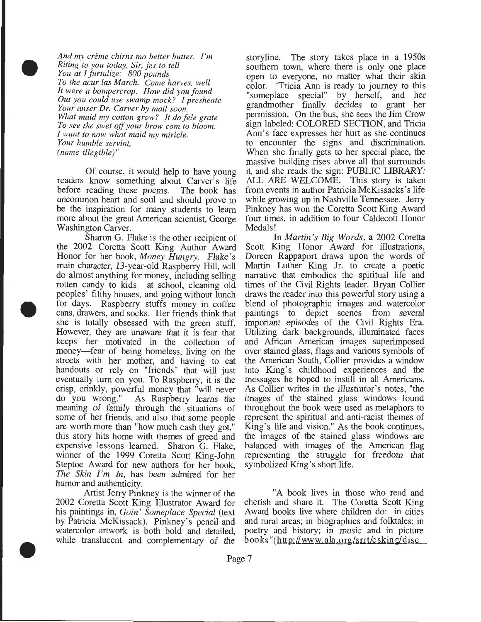*And my creme chirns mo better butter. I'm Riting to you today, Sir, jes to tell You at I furtulize: 800 pounds To the acur las March. Come harves, well It were a bompercrop. How did you found Out you could use swamp mock? I presheate Your anser Dr. Carver by mail soon. What maid my cotton grow? It do fele grate To see the swet off your brow com to bloom. I want to now what maid my miricle. Your humble servint, (name illegible)"* 

•

•

•

Of course, it would help to have young readers know something about Carver's life<br>before reading these poems. The book has before reading these poems. uncommon heart and soul and should prove to be the inspiration for many students to learn more about the great American scientist, George Washington Carver.

Sharon G. Flake is the other recipient of the 2002 Coretta Scott King Author Award Honor for her book, *Money Hungry.* Flake's main character, 13-year-old Raspberry Hill, will do almost anything for money, including selling rotten candy to kids at school, cleaning old peoples' filthy houses, and going without lunch for days. Raspberry stuffs money in coffee cans, drawers, and socks. Her friends think that she is totally obsessed with the green stuff. However, they are unaware that it is fear that keeps her motivated in the collection of money—fear of being homeless, living on the streets with her mother, and having to eat handouts or rely on "friends" that will just eventually tum on you. To Raspberry, it is the crisp, crinkly, powerful money that "will never do you wrong." As Raspberry learns the meaning of family through the situations of some of her friends, and also that some people are worth more than "how much cash they got," this story hits home with themes of greed and expensive lessons learned. Sharon G. Flake, winner of the 1999 Coretta Scott King-John Steptoe Award for new authors for her book, *The Skin I'm In,* has been admired for her humor and authenticity.

Artist Jerry Pinkney is the winner of the 2002 Coretta Scott King Illustrator Award for his paintings in, *Goin' Someplace Special* (text by Patricia McKissack). Pinkney's pencil and watercolor artwork is both bold and detailed, while translucent and complementary of the storyline. The story takes place in a 1950s southern town, where there is only one place open to everyone, no matter what their skin color. 'Tricia Ann is ready to journey to this "someplace special" by herself, and her grandmother finally decides to grant her permission. On the bus, she sees the Jim Crow sign labeled: COLORED SECTION, and Tricia Ann's face expresses her hurt as she continues to encounter the signs and discrimination. When she finally gets to her special place, the massive building rises above all that surrounds it, and she reads the sign: PUBLIC LIBRARY: *AIL* ARE WELCOME. This story is taken from events in author Patricia McKissacks's life while growing up in Nashville Tennessee. Jerry Pinkney has won the Coretta Scott King Award four times, in addition to four Caldecott Honor Medals!

In *Martin 's Big Words,* a 2002 Coretta Scott King Honor Award for illustrations, Doreen Rappaport draws upon the words of Martin Luther King Jr. to create a poetic narrative that embodies the spiritual life and times of the Civil Rights leader. Bryan Collier draws the reader into this powerful story using a blend of photographic images and watercolor paintings to depict scenes from several important episodes of the Civil Rights Era. Utilizing dark backgrounds, illuminated faces and African American images superimposed over stained glass, flags and various symbols of the American South, Collier provides a window into King's childhood experiences and the messages he hoped to instill in all Americans. As Collier writes in the illustrator's notes, "the images of the stained glass windows found throughout the book were used as metaphors to represent the spiritual and anti-racist themes of King's life and vision." As the book continues, the images of the stained glass windows are balanced with images of the American flag representing the struggle for freedom that symbolized King's short life.

"A book lives in those who read and cherish and share it. The Coretta Scott King Award books live where children do: in cities and rural areas; in biographies and folktales; in poetry and history; in music and in picture books"(http://www.ala.org/srrt/csking/disc\_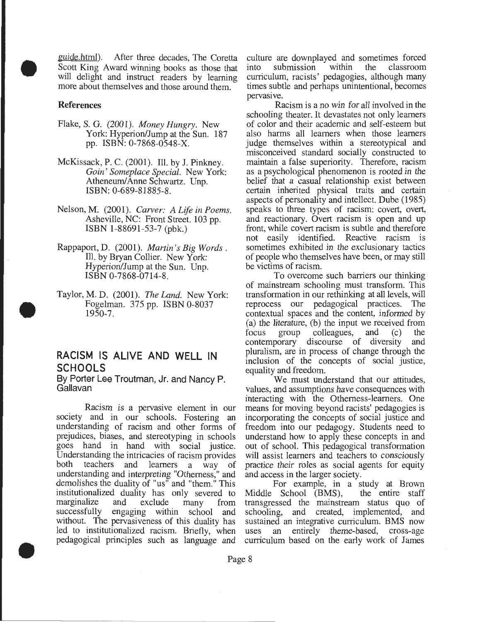guide.html). After three decades, The Coretta Scott King Award winning books as those that will delight and instruct readers by learning more about themselves and those around them.

#### References

•

•

•

- Flake, S. G. (2001). *Money Hungry.* New York: Hyperion/Jump at the Sun. 187 pp. ISBN: 0-7868-0548-X.
- McKissack, P. C. (2001). Ill. by J. Pinkney. *Gain' Someplace Special.* New York: Atheneum/ Anne Schwartz. Unp. ISBN: 0-689-81885-8.
- Nelson, M. (2001). *Carver: A Life in Poems.*  Asheville, NC: Front Street. 103 pp. ISBN 1-88691-53-7 (pbk.)
- Rappaport, D. (2001). *Martin's Big Words.*  Ill. by Bryan Collier. New York: Hyperion/Jump at the Sun. Unp. ISBN 0-7868-0714-8.
- Taylor, M.D. (2001). *The Land.* New York: Fogelman. 375 pp. ISBN 0-8037 1950-7.

#### **RACISM IS ALIVE AND WELL IN SCHOOLS**

By Porter Lee Troutman, Jr. and Nancy P. Gallavan

Racism is a pervasive element in our society and in our schools. Fostering an understanding of racism and other forms of prejudices, biases, and stereotyping in schools goes hand in hand with social justice. Understanding the intricacies of racism provides both teachers and learners a way of understanding and interpreting "Otherness," and demolishes the duality of "us" and "them." This institutionalized duality has only severed to marginalize and exclude many from successfully engaging within school and without. The pervasiveness of this duality has led to institutionalized racism. Briefly, when pedagogical principles such as language and culture are downplayed and sometimes forced<br>into submission within the classroom into submission curriculum, racists' pedagogies, although many times subtle and perhaps unintentional, becomes pervasive.

Racism is a no win for all involved in the schooling theater. It devastates not only learners of color and their academic and self-esteem but also harms all learners when those learners judge themselves within a stereotypical and misconceived standard socially constructed to maintain a false superiority. Therefore, racism as a psychological phenomenon is rooted in the belief that a casual relationship exist between certain inherited physical traits and certain aspects of personality and intellect. Dube (1985) speaks to three types of racism: covert, overt, and reactionary. Overt racism is open and up front, while covert racism is subtle and therefore not easily identified. Reactive racism is sometimes exhibited in the exclusionary tactics of people who themselves have been, or may still be victims of racism.

To overcome such barriers our thinking of mainstream schooling must transform. This transformation in our rethinking at all levels, will reprocess our pedagogical practices. The contextual spaces and the content, informed by (a) the literature, (b) the input we received from focus group colleagues, and  $(c)$  the colleagues, and (c) the<br>iscourse of diversity and contemporary discourse of diversity pluralism, are in process of change through the inclusion of the concepts of social justice, equality and freedom.

We must understand that our attitudes, values, and assumptions have consequences with interacting with the Otherness-learners. One means for moving beyond racists' pedagogies is incorporating the concepts of social justice and freedom into our pedagogy. Students need to understand how to apply these concepts in and out of school. This pedagogical transformation will assist learners and teachers to consciously practice their roles as social agents for equity and access in the larger society.

For example, in a study at Brown<br>School (BMS), the entire staff Middle School (BMS), transgressed the mainstream status quo of schooling, and created, implemented, and sustained an integrative curriculum. BMS now uses an entirely theme-based, cross-age curriculum based on the early work of James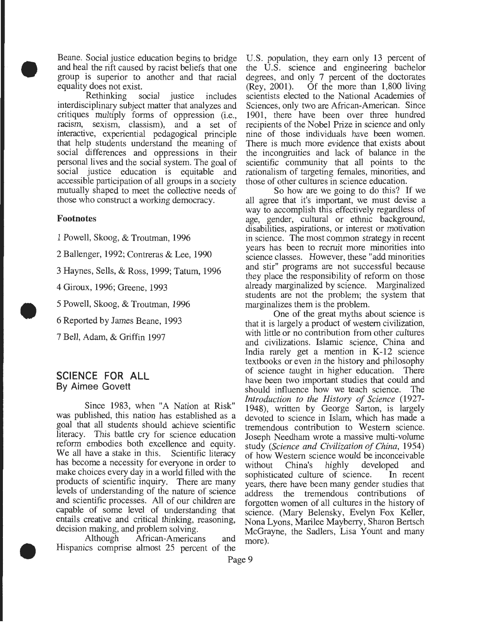Beane. Social justice education begins to bridge and heal the rift caused by racist beliefs that one group is superior to another and that racial equality does not exist.

• Rethinking social justice includes interdisciplinary subject matter that analyzes and critiques multiply forms of oppression (i.e., racism, sexism, classism), and a set of interactive, experiential pedagogical principle that help students understand the meaning of social differences and oppressions in their personal lives and the social system. The goal of social justice education is equitable and accessible participation of all groups in a society mutually shaped to meet the collective needs of those who construct a working democracy.

#### Footnotes

•

•

1 Powell, Skoog, & Troutman, 1996

2 Ballenger, 1992; Contreras & Lee, 1990

3 Haynes, Sells, & Ross, 1999; Tatum, 1996

4 Giroux, 1996; Greene, 1993

5 Powell, Skoog, & Troutman, 1996

6 Reported by James Beane, 1993

7 Bell, Adam, & Griffin 1997

#### **SCIENCE FOR ALL**  By Aimee Govett

Since 1983, when "A Nation at Risk" was published, this nation has established as a goal that all students should achieve scientific literacy. This battle cry for science education reform embodies both excellence and equity.<br>We all have a stake in this. Scientific literacy We all have a stake in this. has become a necessity for everyone in order to make choices every day in a world filled with the products of scientific inquiry. There are many levels of understanding of the nature of science and scientific processes. All of our children are capable of some level of understanding that entails creative and critical thinking, reasoning, decision making, and problem solving.

Although African-Americans and Hispanics comprise almost 25 percent of the U.S. population, they earn only 13 percent of the U.S. science and engineering bachelor degrees, and only 7 percent of the doctorates (Rey, 2001). Of the more than 1,800 living Of the more than  $1,800$  living scientists elected to the National Academies of Sciences, only two are African-American. Since 1901, there have been over three hundred recipients of the Nobel Prize in science and only nine of those individuals have been women. There is much more evidence that exists about the incongruities and lack of balance in the scientific community that all points to the rationalism of targeting females, minorities, and those of other cultures in science education.

So how are we going to do this? If we all agree that it's important, we must devise a way to accomplish this effectively regardless of age, gender, cultural or ethnic background, disabilities, aspirations, or interest or motivation in science. The most common strategy in recent years has been to recruit more minorities into science classes. However, these "add minorities and stir" programs are not successful because they place the responsibility of reform on those already marginalized by science. Marginalized students are not the problem; the system that marginalizes them is the problem.

One of the great myths about science is that it is largely a product of western civilization, with little or no contribution from other cultures and civilizations. Islamic science, China and India rarely get a mention in K-12 science textbooks or even in the history and philosophy of science taught in higher education. There have been two important studies that could and should influence how we teach science. The *Introduction to the History of Science* (1927- 1948), written by George Sarton, is largely devoted to science in Islam, which has made a tremendous contribution to Western science. Joseph Needham wrote a massive multi-volume study *(Science and Civilization of China,* 1954) of how Western science would be inconceivable without China's highly developed and sophisticated culture of science. In recent years, there have been many gender studies that address the tremendous contributions of forgotten women of all cultures in the history of science. (Mary Belensky, Evelyn Fox Keller, Nona Lyons, Marilee Mayberry, Sharon Bertsch McGrayne, the Sadlers, Lisa Yount and many more).

Page 9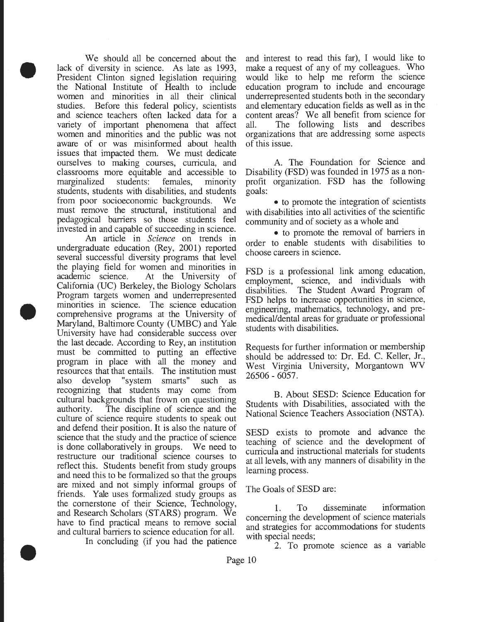We should all be concerned about the lack of diversity in science. As late as 1993, President Clinton signed legislation requiring the National Institute of Health to include women and minorities in all their clinical studies. Before this federal policy, scientists and science teachers often lacked data for a variety of important phenomena that affect women and minorities and the public was not aware of or was misinformed about health issues that impacted them. We must dedicate ourselves to making courses, curricula, and classrooms more equitable and accessible to marginalized students: females, minority students, students with disabilities, and students from poor socioeconomic backgrounds. We must remove the structural, institutional and pedagogical barriers so those students feel invested in and capable of succeeding in science.

•

•

•

An article in *Science* on trends in undergraduate education (Rey, 2001) reported several successful diversity programs that level the playing field for women and minorities in academic science. At the University of California (UC) Berkeley, the Biology Scholars Program targets women and underrepresented minorities in science. The science education comprehensive programs at the University of Maryland, Baltimore County (UMBC) and Yale University have had considerable success over the last decade. According to Rey, an institution must be committed to putting an effective program in place with all the money and resources that that entails. The institution must also develop "system smarts" such as recognizing that students may come from cultural backgrounds that frown on questioning authority. The discipline of science and the culture of science require students to speak out and defend their position. It is also the nature of science that the study and the practice of science is done collaboratively in groups. We need to restructure our traditional science courses to reflect this. Students benefit from study groups and need this to be formalized so that the groups are mixed and not simply informal groups of friends. Yale uses formalized study groups as the cornerstone of their Science, Technology, and Research Scholars (STARS) program. We have to find practical means to remove social and cultural barriers to science education for all.

In concluding (if you had the patience

and interest to read this far), I would like to make a request of any of my colleagues. Who would like to help me reform the science education program to include and encourage underrepresented students both in the secondary and elementary education fields as well as in the content areas? We all benefit from science for all. The following lists and describes organizations that are addressing some aspects of this issue.

A. The Foundation for Science and Disability (FSD) was founded in 1975 as a nonprofit organization. FSD has the following goals:

• to promote the integration of scientists with disabilities into all activities of the scientific community and of society as a whole and

• to promote the removal of barriers in order to enable students with disabilities to choose careers in science.

FSD is a professional link among education, employment, science, and individuals with disabilities. The Student Award Program of FSD helps to increase opportunities in science, engineering, mathematics, technology, and premedical/dental areas for graduate or professional students with disabilities.

Requests for further information or membership should be addressed to: Dr. Ed. C. Keller, Jr., West Virginia University, Morgantown WV 26506 - 6057.

B. About SESD: Science Education for Students with Disabilities, associated with the National Science Teachers Association (NSTA).

SESD exists to promote and advance the teaching of science and the development of curricula and instructional materials for students at all levels, with any manners of disability in the learning process.

The Goals of SESD are:

1. To disseminate information concerning the development of science materials and strategies for accommodations for students with special needs;

2. To promote science as a variable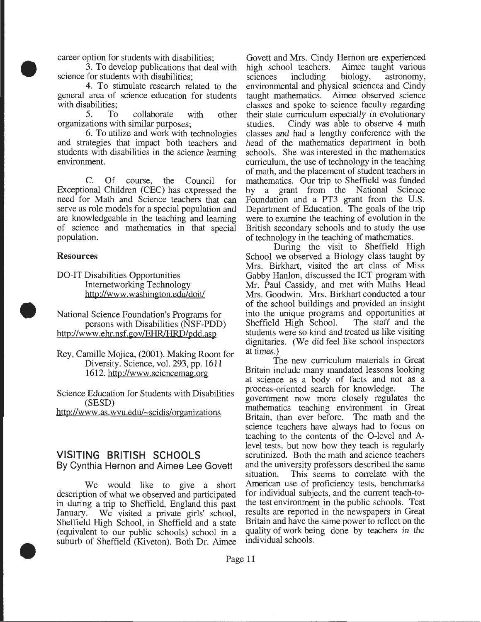career option for students with disabilities;

3. To develop publications that deal with science for students with disabilities;

4. To stimulate research related to the general area of science education for students with disabilities;

5. To collaborate with other organizations with similar purposes;

6. To utilize and work with technologies and strategies that impact both teachers and students with disabilities in the science learning environment.

C. Of course, the Council for Exceptional Children (CEC) has expressed the need for Math and Science teachers that can serve as role models for a special population and are knowledgeable in the teaching and learning of science and mathematics in that special population.

#### Resources

•

•

•

DO-IT Disabilities Opportunities Intemetworking Technology http://www. washington.edu/doit/

National Science Foundation's Programs for persons with Disabilities (NSF-PDD) http://www.ehr.nsf.gov/EHR/HRD/pdd.asp

Rey, Camille Mojica, (2001). Making Room for Diversity. Science, vol. 293, pp. 1611 1612. http://www.sciencemag.org

Science Education for Students with Disabilities (SESD) http://www.as.wvu.edu/~scidis/organizations

#### **VISITING BRITISH SCHOOLS**  By Cynthia Hernon and Aimee Lee Govett

We would like to give a short description of what we observed and participated in during a trip to Sheffield, England this past January. We visited a private girls' school, Sheffield High School, in Sheffield and a state (equivalent to our public schools) school in a suburb of Sheffield (Kiveton). Both Dr. Aimee Govett and Mrs. Cindy Hernon are experienced<br>high school teachers. Aimee taught various l teachers. Aimee taught various<br>including biology, astronomy, sciences including biology, astronomy, environmental and physical sciences and Cindy taught mathematics. Aimee observed science classes and spoke to science faculty regarding their state curriculum especially in evolutionary studies. Cindy was able to observe 4 math classes and had a lengthy conference with the head of the mathematics department in both schools. She was interested in the mathematics curriculum, the use of technology in the teaching of math, and the placement of student teachers in mathematics. Our trip to Sheffield was funded by a grant from the National Science Foundation and a PT3 grant from the U.S. Department of Education. The goals of the trip were to examine the teaching of evolution in the British secondary schools and to study the use of technology in the teaching of mathematics.

During the visit to Sheffield High School we observed a Biology class taught by Mrs. Birkhart, visited the art class of Miss Gabby Hanlon, discussed the ICT program with Mr. Paul Cassidy, and met with Maths Head Mrs. Goodwin. Mrs. Birkhart conducted a tour of the school buildings and provided an insight into the unique programs and opportunities at Sheffield High School. The staff and the Sheffield High School. students were so kind and treated us like visiting dignitaries. (We did feel like school inspectors at times.)

The new curriculum materials in Great Britain include many mandated lessons looking at science as a body of facts and not as a process-oriented search for knowledge. The process-oriented search for knowledge. government now more closely regulates the mathematics teaching environment in Great Britain, than ever before. The math and the science teachers have always had to focus on teaching to the contents of the 0-level and Alevel tests, but now how they teach is regularly scrutinized. Both the math and science teachers and the university professors described the same situation. This seems to correlate with the American use of proficiency tests, benchmarks for individual subjects, and the current teach-tothe test environment in the public schools. Test results are reported in the newspapers in Great Britain and have the same power to reflect on the quality of work being done by teachers in the individual schools.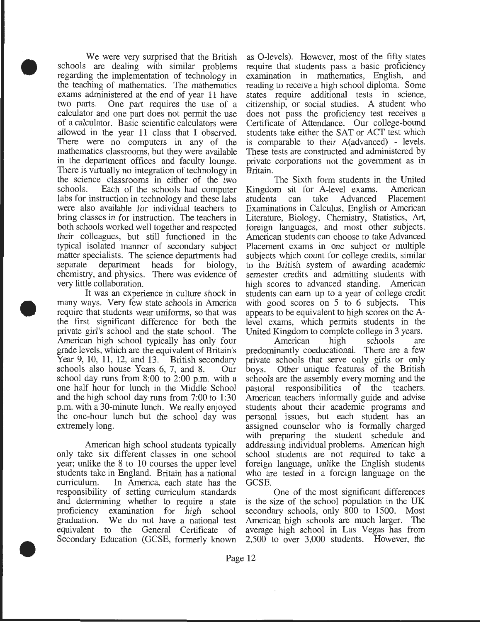We were very surprised that the British schools are dealing with similar problems regarding the implementation of technology in the teaching of mathematics. The mathematics exams administered at the end of year 11 have two parts. One part requires the use of a calculator and one part does not permit the use of a calculator. Basic scientific calculators were allowed in the year 11 class that I observed. There were no computers in any of the mathematics classrooms, but they were available in the department offices and faculty lounge. There is virtually no integration of technology in the science classrooms in either of the two schools. Each of the schools had computer labs for instruction in technology and these labs were also available for individual teachers to bring classes in for instruction. The teachers in both schools worked well together and respected their colleagues, but still functioned in the typical isolated manner of secondary subject matter specialists. The science departments had separate department heads for biology, chemistry, and physics. There was evidence of very little collaboration.

•

•

•

It was an experience in culture shock in many ways. Very few state schools in America require that students wear uniforms, so that was the first significant difference for both the private girl's school and the state school. The American high school typically has only four grade levels, which are the equivalent of Britain's Year 9, 10, 11, 12, and 13. British secondary schools also house Years 6, 7, and 8. Our school day runs from  $8:00$  to  $2:00$  p.m. with a one half hour for lunch in the Middle School and the high school day runs from 7:00 to 1:30 p.m. with a 30-minute lunch. We really enjoyed the one-hour lunch but the school day was extremely long.

American high school students typically only take six different classes in one school year; unlike the 8 to 10 courses the upper level students take in England. Britain has a national curriculum. In America, each state has the responsibility of setting curriculum standards and determining whether to require a state proficiency examination for high school graduation. We do not have a national test equivalent to the General Certificate of Secondary Education (GCSE, formerly known

as 0-levels). However, most of the fifty states require that students pass a basic proficiency examination in mathematics, English, and reading to receive a high school diploma. Some states require additional tests in science, citizenship, or social studies. A student who does not pass the proficiency test receives a Certificate of Attendance. Our college-bound students take either the SAT or ACT test which is comparable to their A(advanced) - levels. These tests are constructed and administered by private corporations not the government as in Britain.

The Sixth form students in the United Kingdom sit for A-level exams. American<br>students can take Advanced Placement students can take Advanced Placement Examinations in Calculus, English or American Literature, Biology, Chemistry, Statistics, Art, foreign languages, and most other subjects. American students can choose to take Advanced Placement exams in one subject or multiple subjects which count for college credits, similar to the British system of awarding academic semester credits and admitting students with high scores to advanced standing. American students can earn up to a year of college credit with good scores on 5 to 6 subjects. This appears to be equivalent to high scores on the Alevel exams, which permits students in the United Kingdom to complete college in 3 years.

American high schools are predominantly coeducational. There are a few private schools that serve only girls or only boys. Other unique features of the British schools are the assembly every morning and the pastoral responsibilities of the teachers. American teachers informally guide and advise students about their academic programs and personal issues, but each student has an assigned counselor who is formally charged with preparing the student schedule and addressing individual problems. American high school students are not required to take a foreign language, unlike the English students who are tested in a foreign language on the GCSE.

One of the most significant differences is the size of the school population in the UK secondary schools, only 800 to 1500. Most American high schools are much larger. The average high school in Las Vegas has from 2,500 to over 3,000 students. However, the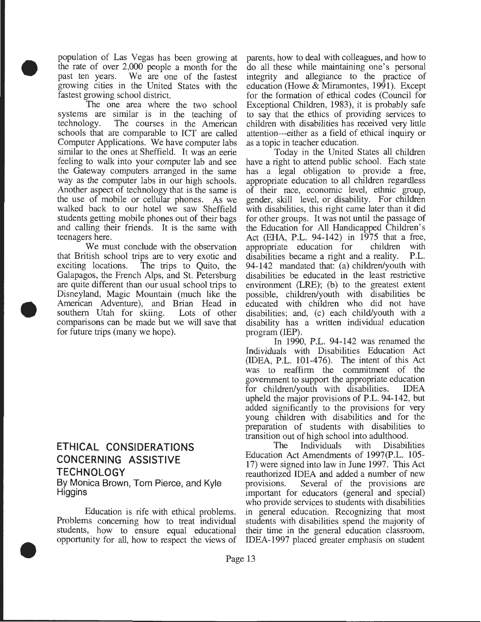population of Las Vegas has been growing at the rate of over 2,000 people a month for the past ten years. We are one of the fastest growing cities in the United States with the fastest growing school district.

•

•

•

The one area where the two school systems are similar is in the teaching of technology. The courses in the American The courses in the American schools that are comparable to ICT are called Computer Applications. We have computer labs similar to the ones at Sheffield. It was an eerie feeling to walk into your computer lab and see the Gateway computers arranged in the same way as the computer labs in our high schools. Another aspect of technology that is the same is the use of mobile or cellular phones. As we walked back to our hotel we saw Sheffield students getting mobile phones out of their bags and calling their friends. It is the same with teenagers here.

We must conclude with the observation that British school trips are to very exotic and exciting locations. The trips to Quito, the Galapagos, the French Alps, and St. Petersburg are quite different than our usual school trips to Disneyland, Magic Mountain (much like the American Adventure), and Brian Head in southern Utah for skiing. Lots of other comparisons can be made but we will save that for future trips (many we hope).

**ETHICAL CONSIDERATIONS CONCERNING ASSISTIVE TECHNOLOGY**  By Monica Brown, Tom Pierce, and Kyle Higgins

Education is rife with ethical problems. Problems concerning how to treat individual students, how to ensure equal educational opportunity for all, how to respect the views of parents, how to deal with colleagues, and how to do all these while maintaining one's personal integrity and allegiance to the practice of education (Howe & Miramontes, 1991). Except for the formation of ethical codes (Council for Exceptional Children, 1983), it is probably safe to say that the ethics of providing services to children with disabilities has received very little attention---either as a field of ethical inquiry or as a topic in teacher education.

Today in the United States all children have a right to attend public school. Each state has a legal obligation to provide a free, appropriate education to all children regardless of their race, economic level, ethnic group, gender, skill level, or disability. For children with disabilities, this right came later than it did for other groups. It was not until the passage of the Education for All Handicapped Children's Act (EHA, P.L. 94-142) in 1975 that a free,<br>appropriate education for children with appropriate education for children with<br>disabilities became a right and a reality. P.L. disabilities became a right and a reality. 94-142 mandated that: (a) children/youth with disabilities be educated in the least restrictive environment (LRE); (b) to the greatest extent possible, children/youth with disabilities be educated with children who did not have disabilities; and, (c) each child/youth with a disability has a written individual education program (IEP).

In 1990, P.L. 94-142 was renamed the Individuals with Disabilities Education Act (IDEA, P.L. 101-476). The intent of this Act was to reaffirm the commitment of the government to support the appropriate education<br>for children/vouth with disabilities. IDEA for children/youth with disabilities. upheld the major provisions of P.L. 94-142, but added significantly to the provisions for very young children with disabilities and for the preparation of students with disabilities to transition out of high school into adulthood.<br>The Individuals with Disabilities

The Individuals Education Act Amendments of 1997(P.L. 105- 17) were signed into law in June 1997. This Act reauthorized IDEA and added a number of new provisions. Several of the provisions are important for educators (general and special) who provide services to students with disabilities in general education. Recognizing that most students with disabilities spend the majority of their time in the general education classroom, IDEA-1997 placed greater emphasis on student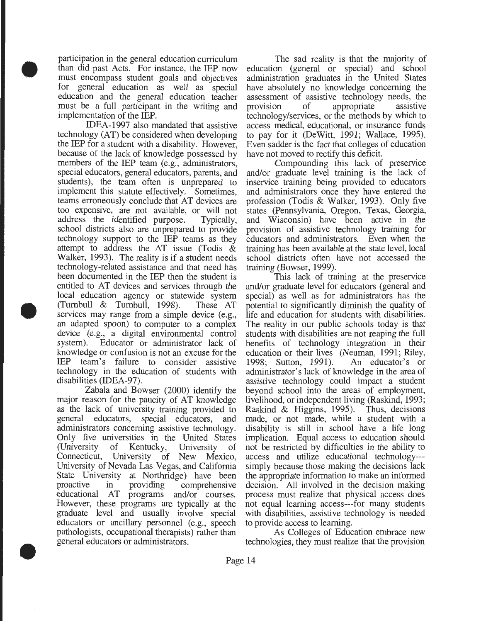participation in the general education curriculum than did past Acts. For instance, the IEP now must encompass student goals and objectives for general education as well as special education and the general education teacher must be a full participant in the writing and implementation of the IEP.

•

•

•

IDEA-1997 also mandated that assistive technology (AT) be considered when developing the IEP for a student with a disability. However, because of the lack of knowledge possessed by members of the IEP team (e.g., administrators, special educators, general educators, parents, and students), the team often is unprepared to implement this statute effectively. Sometimes, teams erroneously conclude that AT devices are too expensive, are not available, or will not address the identified purpose. Typically, school districts also are unprepared to provide technology support to the IEP teams as they attempt to address the AT issue (Todis & Walker, 1993). The reality is if a student needs technology-related assistance and that need has been documented in the IEP then the student is entitled to AT devices and services through the local education agency or statewide system (Turnbull & Turnbull, 1998). These AT services may range from a simple device (e.g., an adapted spoon) to computer to a complex device (e.g., a digital environmental control system). Educator or administrator lack of knowledge or confusion is not an excuse for the IEP team's failure to consider assistive technology in the education of students with disabilities (IDEA-97).

Zabala and Bowser (2000) identify the major reason for the paucity of AT knowledge as the lack of university training provided to general educators, special educators, and administrators concerning assistive technology. Only five universities in the United States (University of Kentucky, University of Connecticut, University of New Mexico, University of Nevada Las Vegas, and California State University at Northridge) have been<br>proactive in providing comprehensive in providing comprehensive educational AT programs and/or courses. However, these programs are typically at the graduate level and usually involve special educators or ancillary personnel (e.g., speech pathologists, occupational therapists) rather than general educators or administrators.

The sad reality is that the majority of education (general or special) and school administration graduates in the United States have absolutely no knowledge concerning the assessment of assistive technology needs, the provision of appropriate assistive technology/services, or the methods by which to access medical, educational, or insurance funds to pay for it (DeWitt, 1991; Wallace, 1995). Even sadder is the fact that colleges of education have not moved to rectify this deficit.

Compounding this lack of preservice and/or graduate level training is the lack of inservice training being provided to educators and administrators once they have entered the profession (Todis & Walker, 1993). Only five states (Pennsylvania, Oregon, Texas, Georgia, and Wisconsin) have been active in the provision of assistive technology training for educators and administrators. Even when the training has been available at the state level, local school districts often have not accessed the training (Bowser, 1999).

This lack of training at the preservice and/or graduate level for educators (general and special) as well as for administrators has the potential to significantly diminish the quality of life and education for students with disabilities. The reality in our public schools today is that students with disabilities are not reaping the full benefits of technology integration in their education or their lives (Neuman, 1991; Riley, 1998; Sutton, 1991). An educator's or administrator's lack of know ledge in the area of assistive technology could impact a student beyond school into the areas of employment, livelihood, or independent living (Raskind, 1993; Raskind & Higgins, 1995). Thus, decisions made, or not made, while a student with a disability is still in school have a life long implication. Equal access to education should not be restricted by difficulties in the ability to access and utilize educational technology-- simply because those making the decisions lack the appropriate information to make an informed decision. All involved in the decision making process must realize that physical access does not equal learning access---for many students with disabilities, assistive technology is needed to provide access to learning.

As Colleges of Education embrace new technologies, they must realize that the provision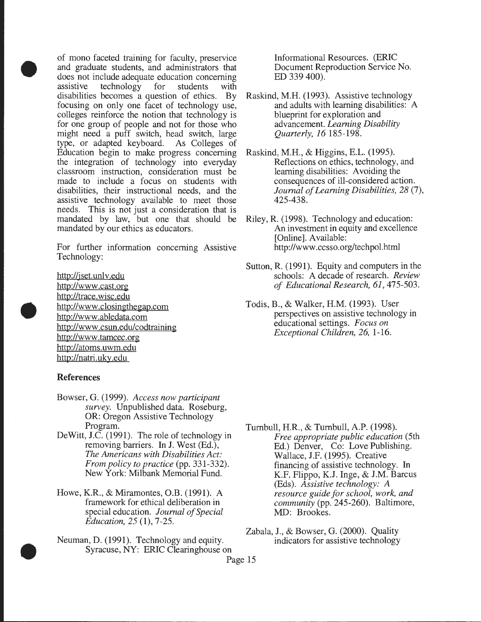of mono faceted training for faculty, preservice and graduate students, and administrators that does not include adequate education concerning assistive technology for students with disabilities becomes a question of ethics. By focusing on only one facet of technology use, colleges reinforce the notion that technology is for one group of people and not for those who might need a puff switch, head switch, large type, or adapted keyboard. As Colleges of Education begin to make progress concerning the integration of technology into everyday classroom instruction, consideration must be made to include a focus on students with disabilities, their instructional needs, and the assistive technology available to meet those needs. This is not just a consideration that is mandated by law, but one that should be mandated by our ethics as educators.

For further information concerning Assistive Technology:

http://jset.unlv.edu http://www .cast.org http://trace.wisc.edu http://www .closingthegap.com http://www .abledata.com http://www .csun.edu/codtraining http://www.tamcec.org http://atoms.uwm.edu http://natri.uky.edu

#### **References**

•

•

•

- Bowser, G. (1999). *Access now participant survey.* Unpublished data. Roseburg, OR: Oregon Assistive Technology Program.
- DeWitt, J.C. (1991). The role of technology in removing barriers. In J. West (Ed.), *The Americans with Disabilities Act: From policy to practice* (pp. 331-332). New York: Milbank Memorial Fund.
- Howe, K.R., & Miramontes, O.B. (1991). A framework for ethical deliberation in special education. *Journal of Special Education, 25* (1), 7-25.
- Neuman, D. (1991). Technology and equity. Syracuse, NY: ERIC Clearinghouse on

Informational Resources. (ERIC Document Reproduction Service No. ED 339 400).

- Raskind, M.H. (1993). Assistive technology and adults with learning disabilities: A blueprint for exploration and advancement. *Learning Disability Quarterly, 16* 185-198.
- Raskind, M.H., & Higgins, E.L. (1995). Reflections on ethics, technology, and learning disabilities: A voiding the consequences of ill-considered action. *Journal of Learning Disabilities, 28* (7), 425-438.
- Riley, R. (1998). Technology and education: An investment in equity and excellence [Online]. Available: http://www .ccsso.org/techpol.html
- Sutton, R. (1991). Equity and computers in the schools: A decade of research. *Review of Educational Research, 61,* 475-503.
- Todis, B., & Walker, H.M. (1993). User perspectives on assistive technology in educational settings. *Focus on Exceptional Children, 26,* 1-16.

- Turnbull, H.R., & Turnbull, A.P. (1998). *Free appropriate public education* (5th Ed.) Denver, Co: Love Publishing. Wallace, J.F. (1995). Creative financing of assistive technology. In K.F. Flippo, K.J. Inge, & J.M. Barcus (Eds). *Assistive technology: A resource guide for school, work, and community* (pp. 245-260). Baltimore, MD: Brookes.
- Zabala, J., & Bowser, G. (2000). Quality<br>indicators for assistive technology
- Page 15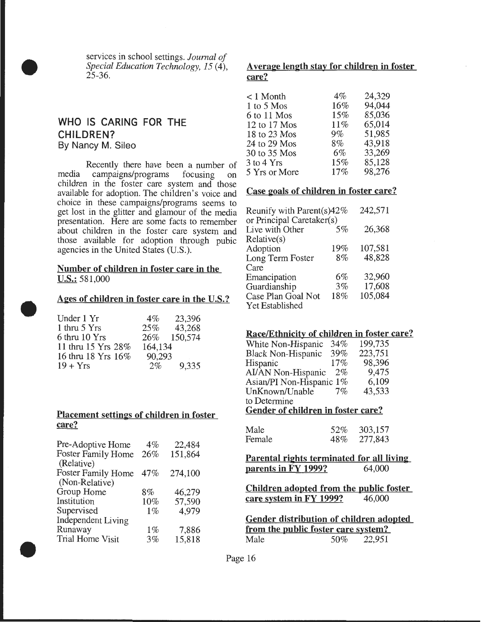services in school settings. *Journal of Special Education Technology, 15* (4),  $25 - 36$ .

#### WHO IS CARING FOR THE CHILDREN? By Nancy M. Sileo

•

•

•

Recently there have been a number of media campaigns/programs focusing on children in the foster care system and those available for adoption. The children's voice and choice in these campaigns/programs seems to get lost in the glitter and glamour of the media presentation. Here are some facts to remember about children in the foster care system and those available for adoption through pubic agencies in the United States (U.S.).

#### Number of children in foster care in the U.S.: 581,000

Ages of children in foster care in the U.S.?

| Under 1 Yr         | $4\%$   | 23,396      |
|--------------------|---------|-------------|
| 1 thru 5 Yrs       | $25\%$  | 43,268      |
| 6 thru 10 Yrs      |         | 26% 150,574 |
| 11 thru 15 Yrs 28% | 164,134 |             |
| 16 thru 18 Yrs 16% | 90,293  |             |
| $19 + Yrs$         | $2\%$   | 9,335       |

#### Placement settings of children in foster care?

| Pre-Adoptive Home         | $4\%$ | 22,484  |
|---------------------------|-------|---------|
| Foster Family Home        | 26%   | 151,864 |
| (Relative)                |       |         |
| <b>Foster Family Home</b> | 47%   | 274,100 |
| (Non-Relative)            |       |         |
| Group Home                | 8%    | 46,279  |
| Institution               | 10%   | 57,590  |
| Supervised                | $1\%$ | 4.979   |
| <b>Independent Living</b> |       |         |
| Runaway                   | $1\%$ | 7,886   |
| Trial Home Visit          | 3%    | 15,818  |
|                           |       |         |

#### A verage length stay for children in foster care?

| $< 1$ Month    | $4\%$ | 24,329 |
|----------------|-------|--------|
| 1 to 5 Mos     | 16%   | 94,044 |
| 6 to 11 Mos    | 15%   | 85,036 |
| 12 to 17 Mos   | 11%   | 65,014 |
| 18 to 23 Mos   | $9\%$ | 51,985 |
| 24 to 29 Mos   | $8\%$ | 43,918 |
| 30 to 35 Mos   | $6\%$ | 33,269 |
| $3$ to $4$ Yrs | 15%   | 85,128 |
| 5 Yrs or More  | 17%   | 98,276 |
|                |       |        |

#### Case goals of children in foster care?

| Reunify with Parent(s) $42\%$<br>or Principal Caretaker(s) |         |  |
|------------------------------------------------------------|---------|--|
| $5\%$                                                      | 26,368  |  |
|                                                            |         |  |
| 19%                                                        | 107,581 |  |
| 8%                                                         | 48,828  |  |
|                                                            |         |  |
| $6\%$                                                      | 32,960  |  |
| 3%                                                         | 17,608  |  |
| 18%                                                        | 105,084 |  |
|                                                            |         |  |
|                                                            |         |  |

#### Race/Ethnicity of children in foster care?

| Gender of children in foster care? |       |         |  |  |
|------------------------------------|-------|---------|--|--|
| to Determine                       |       |         |  |  |
| UnKnown/Unable                     | $7\%$ | 43,533  |  |  |
| Asian/PI Non-Hispanic 1%           |       | 6,109   |  |  |
| AI/AN Non-Hispanic                 | $2\%$ | 9,475   |  |  |
| Hispanic                           | 17%   | 98,396  |  |  |
| <b>Black Non-Hispanic</b>          | 39%   | 223,751 |  |  |
| White Non-Hispanic                 | 34%   | 199,735 |  |  |
|                                    |       |         |  |  |

Gender of children in foster care?

| Male   | 52% | 303,157 |
|--------|-----|---------|
| Female | 48% | 277,843 |

Parental rights terminated for all living<br>parents in FY 1999? 64,000 parents in  $FY$  1999?

Children adopted from the public foster<br>care system in FY 1999? 46,000 care system in FY 1999?

| Gender distribution of children adopted |     |        |  |
|-----------------------------------------|-----|--------|--|
| from the public foster care system?     |     |        |  |
| Male                                    | 50% | 22,951 |  |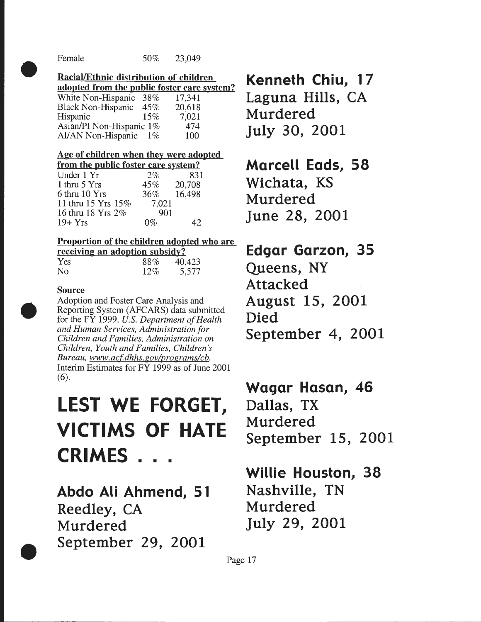•

#### Racial/Ethnic distribution of children

| adopted from the public foster care system? |       |        |  |
|---------------------------------------------|-------|--------|--|
| White Non-Hispanic                          | 38%   | 17,341 |  |
| Black Non-Hispanic 45%                      |       | 20,618 |  |
| Hispanic                                    | 15%   | 7,021  |  |
| Asian/PI Non-Hispanic 1%                    |       | 474    |  |
| AI/AN Non-Hispanic                          | $1\%$ | 100    |  |

#### Age of children when they were adopted

| from the public foster care system? |        |        |  |  |
|-------------------------------------|--------|--------|--|--|
| Under 1 Yr                          | 2%     | 831    |  |  |
| 1 thru 5 Yrs                        | 45%    | 20,708 |  |  |
| 6 thru 10 Yrs                       | $36\%$ | 16,498 |  |  |
| 11 thru 15 Yrs 15%                  | 7,021  |        |  |  |
| 16 thru 18 Yrs 2%                   | 901    |        |  |  |
| $19+Yrs$                            |        | 17     |  |  |

#### Proportion of the children adopted who are

|            | receiving an adoption subsidy? |        |
|------------|--------------------------------|--------|
| <b>Yes</b> | 88%                            | 40,423 |
| No         | 12%                            | 5,577  |

#### Source

•

•

Adoption and Foster Care Analysis and Reporting System (AFCARS) data submitted for the FY 1999. *U.S. Department of Health and Human Services, Administration for Children and Families, Administration on Children, Youth and Families, Children's Bureau, www.acf.dhhs.gov/programs/cb.* Interim Estimates for FY 1999 as of June 2001 (6).

# **LEST WE FORGET, VICTIMS OF HATE CRIMES** ...

**Abdo Ali Ahmend, 51 Reedley, CA Murdered September 29, 2001** 

**Kenneth Chiu, 17 Laguna Hills, CA** 

**Murdered july 30, 2001** 

### **Marcell Eads, 58**

**Wichata, KS Murdered june 28, 2001** 

## **Edgar Garzon, 35**

**Queens, NY Attacked August 15, 2001 Died September 4, 2001** 

### **Wagar Hasan, 46**

**Dallas, TX Murdered September 15, 2001** 

### **Willie Houston, 38 Nashville, TN**

**Murdered july 29, 2001** 

Page 17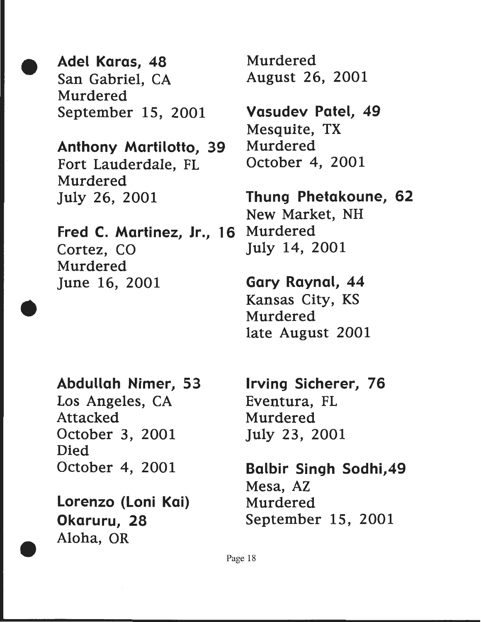• Adel Karas, 48 San Gabriel, CA Murdered September 15, 2001

> Anthony Martilotto, 39 Fort Lauderdale, FL Murdered july 26, 2001

Fred C. Martinez, Jr., 16 Cortez, CO Murdered june 16, 2001

Abdullah Nimer, 53 Los Angeles, CA Attacked October 3, 2001 Died October 4, 2001

•

•

Lorenzo (loni Kai) Okaruru, 28 Aloha, OR

Murdered August 26, 2001

Vasudev Patel, 49 Mesquite, TX Murdered October 4, 2001

Thung Phetakoune, 62 New Market, NH Murdered july 14, 2001

Gary Raynal, 44 Kansas City, KS Murdered late August 2001

Irving Sicherer, 76 Eventura, FL Murdered july 23, 2001

Balbir Singh Sodhi,49 Mesa, AZ Murdered September 15, 2001

Page 18